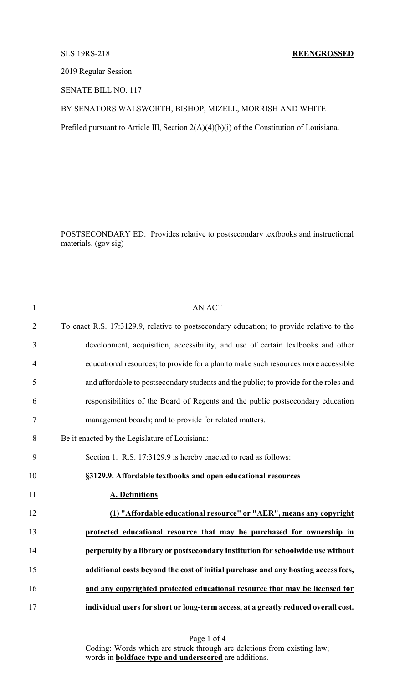## SLS 19RS-218 **REENGROSSED**

2019 Regular Session

SENATE BILL NO. 117

## BY SENATORS WALSWORTH, BISHOP, MIZELL, MORRISH AND WHITE

Prefiled pursuant to Article III, Section 2(A)(4)(b)(i) of the Constitution of Louisiana.

POSTSECONDARY ED. Provides relative to postsecondary textbooks and instructional materials. (gov sig)

| $\mathbf{1}$   | <b>AN ACT</b>                                                                            |
|----------------|------------------------------------------------------------------------------------------|
| $\overline{2}$ | To enact R.S. 17:3129.9, relative to postsecondary education; to provide relative to the |
| 3              | development, acquisition, accessibility, and use of certain textbooks and other          |
| $\overline{4}$ | educational resources; to provide for a plan to make such resources more accessible      |
| 5              | and affordable to postsecondary students and the public; to provide for the roles and    |
| 6              | responsibilities of the Board of Regents and the public postsecondary education          |
| 7              | management boards; and to provide for related matters.                                   |
| 8              | Be it enacted by the Legislature of Louisiana:                                           |
| 9              | Section 1. R.S. 17:3129.9 is hereby enacted to read as follows:                          |
| 10             | §3129.9. Affordable textbooks and open educational resources                             |
| 11             | <b>A. Definitions</b>                                                                    |
| 12             | (1) "Affordable educational resource" or "AER", means any copyright                      |
| 13             | protected educational resource that may be purchased for ownership in                    |
| 14             | perpetuity by a library or postsecondary institution for schoolwide use without          |
| 15             | additional costs beyond the cost of initial purchase and any hosting access fees,        |
| 16             | and any copyrighted protected educational resource that may be licensed for              |
| 17             | individual users for short or long-term access, at a greatly reduced overall cost.       |

Page 1 of 4 Coding: Words which are struck through are deletions from existing law; words in **boldface type and underscored** are additions.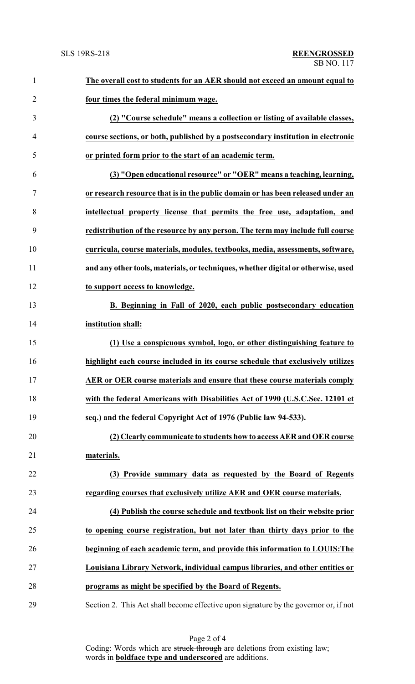| 1              | The overall cost to students for an AER should not exceed an amount equal to         |
|----------------|--------------------------------------------------------------------------------------|
| $\overline{2}$ | four times the federal minimum wage.                                                 |
| 3              | (2) "Course schedule" means a collection or listing of available classes,            |
| 4              | course sections, or both, published by a postsecondary institution in electronic     |
| 5              | or printed form prior to the start of an academic term.                              |
| 6              | (3) "Open educational resource" or "OER" means a teaching, learning,                 |
| 7              | or research resource that is in the public domain or has been released under an      |
| 8              | intellectual property license that permits the free use, adaptation, and             |
| 9              | redistribution of the resource by any person. The term may include full course       |
| 10             | curricula, course materials, modules, textbooks, media, assessments, software,       |
| 11             | and any other tools, materials, or techniques, whether digital or otherwise, used    |
| 12             | to support access to knowledge.                                                      |
| 13             | B. Beginning in Fall of 2020, each public postsecondary education                    |
| 14             | institution shall:                                                                   |
| 15             | (1) Use a conspicuous symbol, logo, or other distinguishing feature to               |
| 16             | highlight each course included in its course schedule that exclusively utilizes      |
| 17             | AER or OER course materials and ensure that these course materials comply            |
| 18             | with the federal Americans with Disabilities Act of 1990 (U.S.C.Sec. 12101 et        |
| 19             | seq.) and the federal Copyright Act of 1976 (Public law 94-533).                     |
| 20             | (2) Clearly communicate to students how to access AER and OER course                 |
| 21             | materials.                                                                           |
| 22             | (3) Provide summary data as requested by the Board of Regents                        |
| 23             | regarding courses that exclusively utilize AER and OER course materials.             |
| 24             | (4) Publish the course schedule and textbook list on their website prior             |
| 25             | to opening course registration, but not later than thirty days prior to the          |
| 26             | beginning of each academic term, and provide this information to LOUIS: The          |
| 27             | Louisiana Library Network, individual campus libraries, and other entities or        |
| 28             | programs as might be specified by the Board of Regents.                              |
| 29             | Section 2. This Act shall become effective upon signature by the governor or, if not |

Page 2 of 4 Coding: Words which are struck through are deletions from existing law; words in **boldface type and underscored** are additions.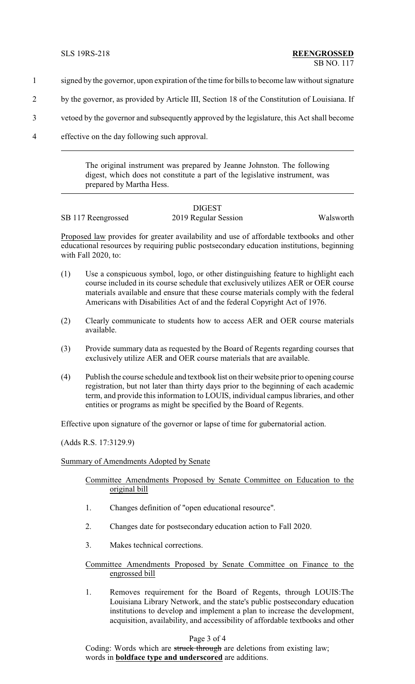- 1 signed by the governor, upon expiration of the time for bills to become law without signature
- 2 by the governor, as provided by Article III, Section 18 of the Constitution of Louisiana. If
- 3 vetoed by the governor and subsequently approved by the legislature, this Act shall become
- 4 effective on the day following such approval.

The original instrument was prepared by Jeanne Johnston. The following digest, which does not constitute a part of the legislative instrument, was prepared by Martha Hess.

## **DIGEST** SB 117 Reengrossed 2019 Regular Session Walsworth

Proposed law provides for greater availability and use of affordable textbooks and other educational resources by requiring public postsecondary education institutions, beginning with Fall 2020, to:

- (1) Use a conspicuous symbol, logo, or other distinguishing feature to highlight each course included in its course schedule that exclusively utilizes AER or OER course materials available and ensure that these course materials comply with the federal Americans with Disabilities Act of and the federal Copyright Act of 1976.
- (2) Clearly communicate to students how to access AER and OER course materials available.
- (3) Provide summary data as requested by the Board of Regents regarding courses that exclusively utilize AER and OER course materials that are available.
- (4) Publish the course schedule and textbook list on their website prior to opening course registration, but not later than thirty days prior to the beginning of each academic term, and provide this information to LOUIS, individual campus libraries, and other entities or programs as might be specified by the Board of Regents.

Effective upon signature of the governor or lapse of time for gubernatorial action.

(Adds R.S. 17:3129.9)

#### Summary of Amendments Adopted by Senate

Committee Amendments Proposed by Senate Committee on Education to the original bill

- 1. Changes definition of "open educational resource".
- 2. Changes date for postsecondary education action to Fall 2020.
- 3. Makes technical corrections.

Committee Amendments Proposed by Senate Committee on Finance to the engrossed bill

1. Removes requirement for the Board of Regents, through LOUIS:The Louisiana Library Network, and the state's public postsecondary education institutions to develop and implement a plan to increase the development, acquisition, availability, and accessibility of affordable textbooks and other

# Page 3 of 4

Coding: Words which are struck through are deletions from existing law; words in **boldface type and underscored** are additions.